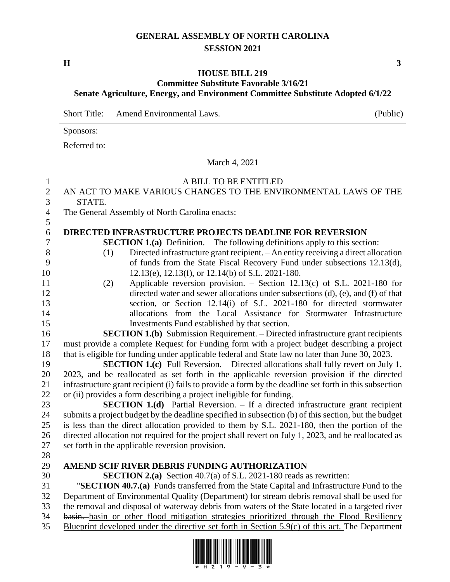### **GENERAL ASSEMBLY OF NORTH CAROLINA SESSION 2021**

**H 3**

## **HOUSE BILL 219**

### **Committee Substitute Favorable 3/16/21 Senate Agriculture, Energy, and Environment Committee Substitute Adopted 6/1/22**

Short Title: Amend Environmental Laws. (Public)

Sponsors:

Referred to:

March 4, 2021 A BILL TO BE ENTITLED AN ACT TO MAKE VARIOUS CHANGES TO THE ENVIRONMENTAL LAWS OF THE STATE. The General Assembly of North Carolina enacts: **DIRECTED INFRASTRUCTURE PROJECTS DEADLINE FOR REVERSION SECTION 1.(a)** Definition. – The following definitions apply to this section: (1) Directed infrastructure grant recipient. – An entity receiving a direct allocation of funds from the State Fiscal Recovery Fund under subsections 12.13(d), 10 12.13(e), 12.13(f), or 12.14(b) of S.L. 2021-180. (2) Applicable reversion provision. – Section 12.13(c) of S.L. 2021-180 for directed water and sewer allocations under subsections (d), (e), and (f) of that section, or Section 12.14(i) of S.L. 2021-180 for directed stormwater allocations from the Local Assistance for Stormwater Infrastructure Investments Fund established by that section. **SECTION 1.(b)** Submission Requirement. – Directed infrastructure grant recipients must provide a complete Request for Funding form with a project budget describing a project that is eligible for funding under applicable federal and State law no later than June 30, 2023. **SECTION 1.(c)** Full Reversion. – Directed allocations shall fully revert on July 1, 2023, and be reallocated as set forth in the applicable reversion provision if the directed infrastructure grant recipient (i) fails to provide a form by the deadline set forth in this subsection or (ii) provides a form describing a project ineligible for funding. **SECTION 1.(d)** Partial Reversion. – If a directed infrastructure grant recipient submits a project budget by the deadline specified in subsection (b) of this section, but the budget is less than the direct allocation provided to them by S.L. 2021-180, then the portion of the directed allocation not required for the project shall revert on July 1, 2023, and be reallocated as set forth in the applicable reversion provision. **AMEND SCIF RIVER DEBRIS FUNDING AUTHORIZATION SECTION 2.(a)** Section 40.7(a) of S.L. 2021-180 reads as rewritten: "**SECTION 40.7.(a)** Funds transferred from the State Capital and Infrastructure Fund to the Department of Environmental Quality (Department) for stream debris removal shall be used for the removal and disposal of waterway debris from waters of the State located in a targeted river basin. basin or other flood mitigation strategies prioritized through the Flood Resiliency Blueprint developed under the directive set forth in Section 5.9(c) of this act. The Department

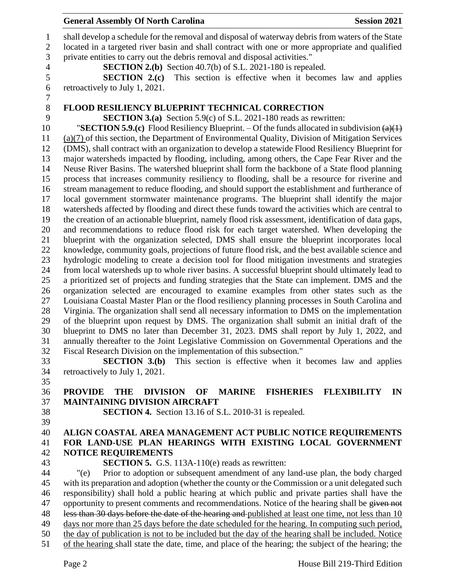**General Assembly Of North Carolina Session 2021**  shall develop a schedule for the removal and disposal of waterway debris from waters of the State located in a targeted river basin and shall contract with one or more appropriate and qualified private entities to carry out the debris removal and disposal activities." **SECTION 2.(b)** Section 40.7(b) of S.L. 2021-180 is repealed. **SECTION 2.(c)** This section is effective when it becomes law and applies retroactively to July 1, 2021. **FLOOD RESILIENCY BLUEPRINT TECHNICAL CORRECTION SECTION 3.(a)** Section 5.9(c) of S.L. 2021-180 reads as rewritten: "**SECTION 5.9.(c)** Flood Resiliency Blueprint. – Of the funds allocated in subdivision (a)(1) (a)(7) of this section, the Department of Environmental Quality, Division of Mitigation Services (DMS), shall contract with an organization to develop a statewide Flood Resiliency Blueprint for major watersheds impacted by flooding, including, among others, the Cape Fear River and the Neuse River Basins. The watershed blueprint shall form the backbone of a State flood planning process that increases community resiliency to flooding, shall be a resource for riverine and stream management to reduce flooding, and should support the establishment and furtherance of local government stormwater maintenance programs. The blueprint shall identify the major watersheds affected by flooding and direct these funds toward the activities which are central to the creation of an actionable blueprint, namely flood risk assessment, identification of data gaps, and recommendations to reduce flood risk for each target watershed. When developing the blueprint with the organization selected, DMS shall ensure the blueprint incorporates local knowledge, community goals, projections of future flood risk, and the best available science and hydrologic modeling to create a decision tool for flood mitigation investments and strategies from local watersheds up to whole river basins. A successful blueprint should ultimately lead to a prioritized set of projects and funding strategies that the State can implement. DMS and the organization selected are encouraged to examine examples from other states such as the Louisiana Coastal Master Plan or the flood resiliency planning processes in South Carolina and Virginia. The organization shall send all necessary information to DMS on the implementation of the blueprint upon request by DMS. The organization shall submit an initial draft of the blueprint to DMS no later than December 31, 2023. DMS shall report by July 1, 2022, and annually thereafter to the Joint Legislative Commission on Governmental Operations and the Fiscal Research Division on the implementation of this subsection." **SECTION 3.(b)** This section is effective when it becomes law and applies retroactively to July 1, 2021. **PROVIDE THE DIVISION OF MARINE FISHERIES FLEXIBILITY IN MAINTAINING DIVISION AIRCRAFT SECTION 4.** Section 13.16 of S.L. 2010-31 is repealed. 

### **ALIGN COASTAL AREA MANAGEMENT ACT PUBLIC NOTICE REQUIREMENTS FOR LAND-USE PLAN HEARINGS WITH EXISTING LOCAL GOVERNMENT NOTICE REQUIREMENTS**

**SECTION 5.** G.S. 113A-110(e) reads as rewritten:

 "(e) Prior to adoption or subsequent amendment of any land-use plan, the body charged with its preparation and adoption (whether the county or the Commission or a unit delegated such responsibility) shall hold a public hearing at which public and private parties shall have the 47 opportunity to present comments and recommendations. Notice of the hearing shall be given not 48 less than 30 days before the date of the hearing and published at least one time, not less than 10 days nor more than 25 days before the date scheduled for the hearing. In computing such period, the day of publication is not to be included but the day of the hearing shall be included. Notice of the hearing shall state the date, time, and place of the hearing; the subject of the hearing; the